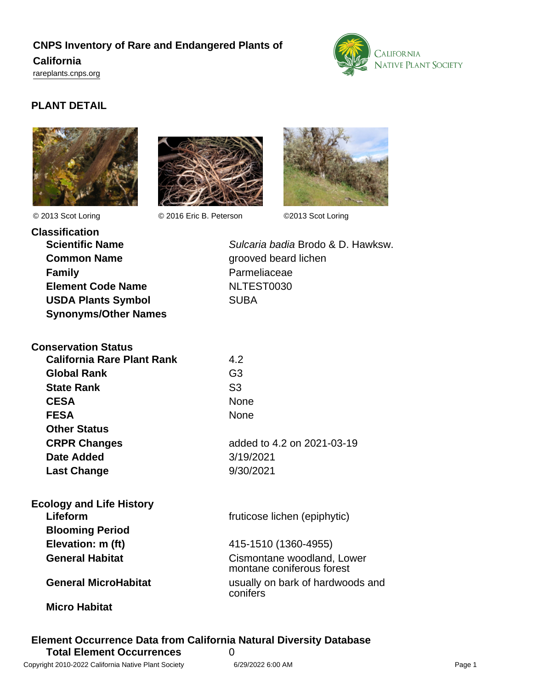# **CNPS Inventory of Rare and Endangered Plants of California**

<rareplants.cnps.org>



# **PLANT DETAIL**





© 2013 Scot Loring © 2016 Eric B. Peterson ©2013 Scot Loring



| Classification              |
|-----------------------------|
| <b>Scientific Name</b>      |
| <b>Common Name</b>          |
| <b>Family</b>               |
| <b>Element Code Name</b>    |
| <b>USDA Plants Symbol</b>   |
| <b>Synonyms/Other Names</b> |

Sulcaria badia Brodo & D. Hawksw. grooved beard lichen Parmeliaceae **NLTEST0030 SUBA** 

| <b>Conservation Status</b>        |                            |
|-----------------------------------|----------------------------|
| <b>California Rare Plant Rank</b> | 4.2                        |
| <b>Global Rank</b>                | G3                         |
| <b>State Rank</b>                 | S3                         |
| <b>CESA</b>                       | None                       |
| <b>FESA</b>                       | None                       |
| <b>Other Status</b>               |                            |
| <b>CRPR Changes</b>               | added to 4.2 on 2021-03-19 |
| Date Added                        | 3/19/2021                  |
| <b>Last Change</b>                | 9/30/2021                  |
|                                   |                            |

| <b>Ecology and Life History</b> |                                                         |
|---------------------------------|---------------------------------------------------------|
| Lifeform                        | fruticose lichen (epiphytic)                            |
| <b>Blooming Period</b>          |                                                         |
| Elevation: m (ft)               | 415-1510 (1360-4955)                                    |
| <b>General Habitat</b>          | Cismontane woodland, Lower<br>montane coniferous forest |
| <b>General MicroHabitat</b>     | usually on bark of hardwoods and<br>conifers            |
| <b>Micro Habitat</b>            |                                                         |

#### **Element Occurrence Data from California Natural Diversity Database Total Element Occurrences** 0 Copyright 2010-2022 California Native Plant Society 6/29/2022 6:00 AM Page 1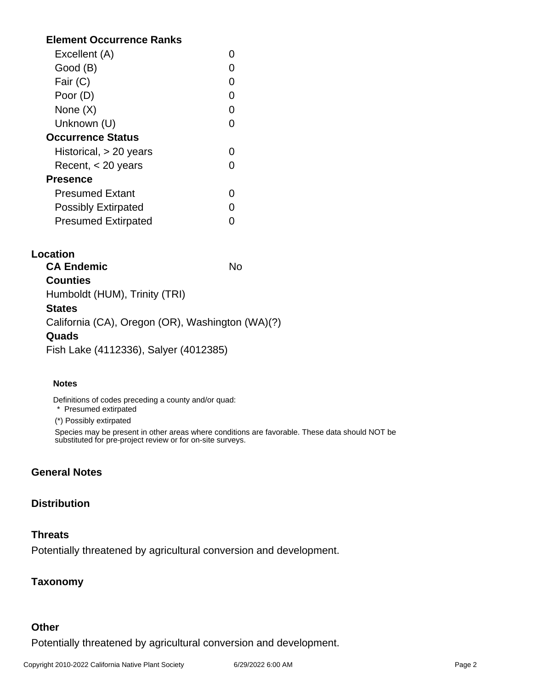## **Element Occurrence Ranks**

| Excellent (A)              |  |  |
|----------------------------|--|--|
| Good (B)                   |  |  |
| Fair (C)                   |  |  |
| Poor (D)                   |  |  |
| None $(X)$                 |  |  |
| Unknown (U)                |  |  |
| <b>Occurrence Status</b>   |  |  |
| Historical, $> 20$ years   |  |  |
| Recent, $<$ 20 years       |  |  |
| <b>Presence</b>            |  |  |
| <b>Presumed Extant</b>     |  |  |
| <b>Possibly Extirpated</b> |  |  |
| <b>Presumed Extirpated</b> |  |  |

| Location                                         |    |
|--------------------------------------------------|----|
| <b>CA Endemic</b>                                | N٥ |
| <b>Counties</b>                                  |    |
| Humboldt (HUM), Trinity (TRI)                    |    |
| <b>States</b>                                    |    |
| California (CA), Oregon (OR), Washington (WA)(?) |    |
| Quads                                            |    |
| Fish Lake (4112336), Salyer (4012385)            |    |
|                                                  |    |

#### **Notes**

Definitions of codes preceding a county and/or quad:

\* Presumed extirpated

(\*) Possibly extirpated

Species may be present in other areas where conditions are favorable. These data should NOT be substituted for pre-project review or for on-site surveys.

## **General Notes**

#### **Distribution**

#### **Threats**

Potentially threatened by agricultural conversion and development.

### **Taxonomy**

## **Other**

Potentially threatened by agricultural conversion and development.